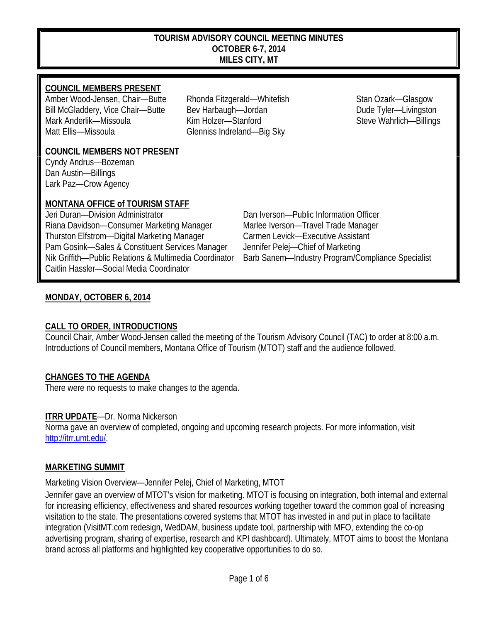#### **TOURISM ADVISORY COUNCIL MEETING MINUTES OCTOBER 6-7, 2014 MILES CITY, MT**

### **COUNCIL MEMBERS PRESENT**

Amber Wood-Jensen, Chair—Butte Rhonda Fitzgerald—Whitefish Stan Ozark—Glasgow Bill McGladdery, Vice Chair—Butte Bev Harbaugh—Jordan Dude Tyler—Livingston Mark Anderlik—Missoula Kim Holzer—Stanford Steve Wahrlich—Billings Matt Ellis—Missoula Glenniss Indreland—Big Sky

#### **COUNCIL MEMBERS NOT PRESENT**

Cyndy Andrus—Bozeman Dan Austin—Billings Lark Paz—Crow Agency

## **MONTANA OFFICE of TOURISM STAFF**

Jeri Duran—Division Administrator Dan Iverson—Public Information Officer Riana Davidson—Consumer Marketing Manager Marlee Iverson—Travel Trade Manager Thurston Elfstrom—Digital Marketing Manager Carmen Levick—Executive Assistant Pam Gosink—Sales & Constituent Services Manager Jennifer Pelej—Chief of Marketing Nik Griffith—Public Relations & Multimedia Coordinator Barb Sanem—Industry Program/Compliance Specialist Caitlin Hassler—Social Media Coordinator

## **MONDAY, OCTOBER 6, 2014**

## **CALL TO ORDER, INTRODUCTIONS**

Council Chair, Amber Wood-Jensen called the meeting of the Tourism Advisory Council (TAC) to order at 8:00 a.m. Introductions of Council members, Montana Office of Tourism (MTOT) staff and the audience followed.

## **CHANGES TO THE AGENDA**

There were no requests to make changes to the agenda.

## **ITRR UPDATE**—Dr. Norma Nickerson

Norma gave an overview of completed, ongoing and upcoming research projects. For more information, visit [http://itrr.umt.edu/.](http://itrr.umt.edu/)

## **MARKETING SUMMIT**

## Marketing Vision Overview—Jennifer Pelej, Chief of Marketing, MTOT

Jennifer gave an overview of MTOT's vision for marketing. MTOT is focusing on integration, both internal and external for increasing efficiency, effectiveness and shared resources working together toward the common goal of increasing visitation to the state. The presentations covered systems that MTOT has invested in and put in place to facilitate integration (VisitMT.com redesign, WedDAM, business update tool, partnership with MFO, extending the co-op advertising program, sharing of expertise, research and KPI dashboard). Ultimately, MTOT aims to boost the Montana brand across all platforms and highlighted key cooperative opportunities to do so.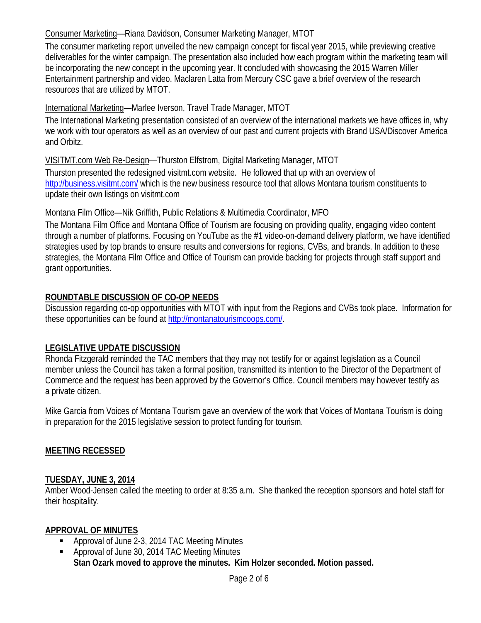## Consumer Marketing—Riana Davidson, Consumer Marketing Manager, MTOT

The consumer marketing report unveiled the new campaign concept for fiscal year 2015, while previewing creative deliverables for the winter campaign. The presentation also included how each program within the marketing team will be incorporating the new concept in the upcoming year. It concluded with showcasing the 2015 Warren Miller Entertainment partnership and video. Maclaren Latta from Mercury CSC gave a brief overview of the research resources that are utilized by MTOT.

## International Marketing—Marlee Iverson, Travel Trade Manager, MTOT

The International Marketing presentation consisted of an overview of the international markets we have offices in, why we work with tour operators as well as an overview of our past and current projects with Brand USA/Discover America and Orbitz.

VISITMT.com Web Re-Design—Thurston Elfstrom, Digital Marketing Manager, MTOT

Thurston presented the redesigned visitmt.com website. He followed that up with an overview of <http://business.visitmt.com/> which is the new business resource tool that allows Montana tourism constituents to update their own listings on visitmt.com

## Montana Film Office—Nik Griffith, Public Relations & Multimedia Coordinator, MFO

The Montana Film Office and Montana Office of Tourism are focusing on providing quality, engaging video content through a number of platforms. Focusing on YouTube as the #1 video-on-demand delivery platform, we have identified strategies used by top brands to ensure results and conversions for regions, CVBs, and brands. In addition to these strategies, the Montana Film Office and Office of Tourism can provide backing for projects through staff support and grant opportunities.

## **ROUNDTABLE DISCUSSION OF CO-OP NEEDS**

Discussion regarding co-op opportunities with MTOT with input from the Regions and CVBs took place. Information for these opportunities can be found at [http://montanatourismcoops.com/.](http://montanatourismcoops.com/)

## **LEGISLATIVE UPDATE DISCUSSION**

Rhonda Fitzgerald reminded the TAC members that they may not testify for or against legislation as a Council member unless the Council has taken a formal position, transmitted its intention to the Director of the Department of Commerce and the request has been approved by the Governor's Office. Council members may however testify as a private citizen.

Mike Garcia from Voices of Montana Tourism gave an overview of the work that Voices of Montana Tourism is doing in preparation for the 2015 legislative session to protect funding for tourism.

## **MEETING RECESSED**

## **TUESDAY, JUNE 3, 2014**

Amber Wood-Jensen called the meeting to order at 8:35 a.m. She thanked the reception sponsors and hotel staff for their hospitality.

## **APPROVAL OF MINUTES**

- **Approval of June 2-3, 2014 TAC Meeting Minutes**
- Approval of June 30, 2014 TAC Meeting Minutes **Stan Ozark moved to approve the minutes. Kim Holzer seconded. Motion passed.**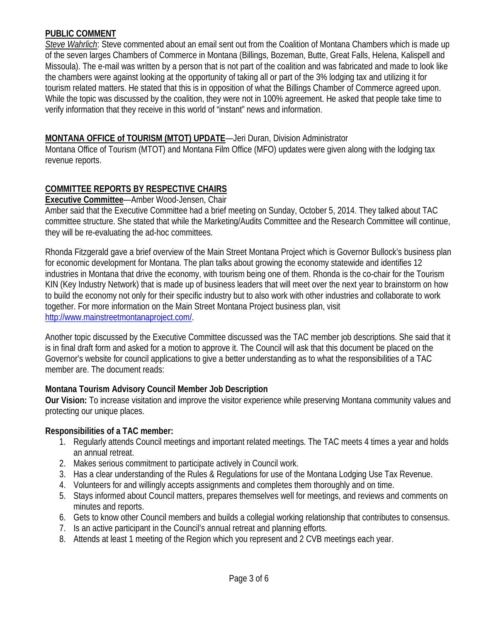### **PUBLIC COMMENT**

*Steve Wahrlich*: Steve commented about an email sent out from the Coalition of Montana Chambers which is made up of the seven larges Chambers of Commerce in Montana (Billings, Bozeman, Butte, Great Falls, Helena, Kalispell and Missoula). The e-mail was written by a person that is not part of the coalition and was fabricated and made to look like the chambers were against looking at the opportunity of taking all or part of the 3% lodging tax and utilizing it for tourism related matters. He stated that this is in opposition of what the Billings Chamber of Commerce agreed upon. While the topic was discussed by the coalition, they were not in 100% agreement. He asked that people take time to verify information that they receive in this world of "instant" news and information.

## **MONTANA OFFICE of TOURISM (MTOT) UPDATE**—Jeri Duran, Division Administrator

Montana Office of Tourism (MTOT) and Montana Film Office (MFO) updates were given along with the lodging tax revenue reports.

## **COMMITTEE REPORTS BY RESPECTIVE CHAIRS**

#### **Executive Committee**—Amber Wood-Jensen, Chair

Amber said that the Executive Committee had a brief meeting on Sunday, October 5, 2014. They talked about TAC committee structure. She stated that while the Marketing/Audits Committee and the Research Committee will continue, they will be re-evaluating the ad-hoc committees.

Rhonda Fitzgerald gave a brief overview of the Main Street Montana Project which is Governor Bullock's business plan for economic development for Montana. The plan talks about growing the economy statewide and identifies 12 industries in Montana that drive the economy, with tourism being one of them. Rhonda is the co-chair for the Tourism KIN (Key Industry Network) that is made up of business leaders that will meet over the next year to brainstorm on how to build the economy not only for their specific industry but to also work with other industries and collaborate to work together. For more information on the Main Street Montana Project business plan, visit [http://www.mainstreetmontanaproject.com/.](http://www.mainstreetmontanaproject.com/)

Another topic discussed by the Executive Committee discussed was the TAC member job descriptions. She said that it is in final draft form and asked for a motion to approve it. The Council will ask that this document be placed on the Governor's website for council applications to give a better understanding as to what the responsibilities of a TAC member are. The document reads:

## **Montana Tourism Advisory Council Member Job Description**

**Our Vision:** To increase visitation and improve the visitor experience while preserving Montana community values and protecting our unique places.

## **Responsibilities of a TAC member:**

- 1. Regularly attends Council meetings and important related meetings. The TAC meets 4 times a year and holds an annual retreat.
- 2. Makes serious commitment to participate actively in Council work.
- 3. Has a clear understanding of the Rules & Regulations for use of the Montana Lodging Use Tax Revenue.
- 4. Volunteers for and willingly accepts assignments and completes them thoroughly and on time.
- 5. Stays informed about Council matters, prepares themselves well for meetings, and reviews and comments on minutes and reports.
- 6. Gets to know other Council members and builds a collegial working relationship that contributes to consensus.
- 7. Is an active participant in the Council's annual retreat and planning efforts.
- 8. Attends at least 1 meeting of the Region which you represent and 2 CVB meetings each year.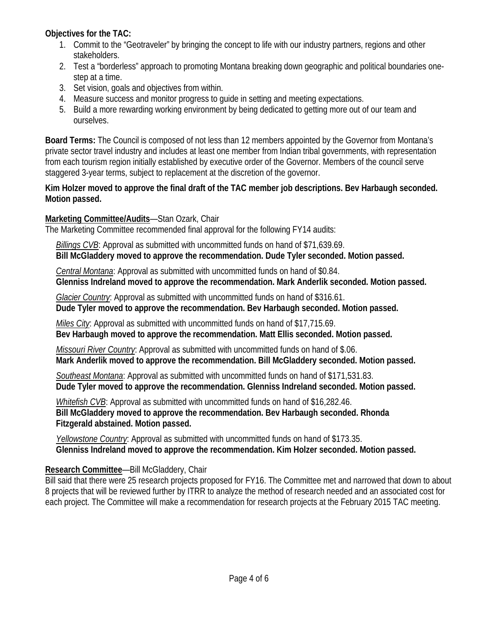**Objectives for the TAC:** 

- 1. Commit to the "Geotraveler" by bringing the concept to life with our industry partners, regions and other stakeholders.
- 2. Test a "borderless" approach to promoting Montana breaking down geographic and political boundaries onestep at a time.
- 3. Set vision, goals and objectives from within.
- 4. Measure success and monitor progress to guide in setting and meeting expectations.
- 5. Build a more rewarding working environment by being dedicated to getting more out of our team and ourselves.

**Board Terms:** The Council is composed of not less than 12 members appointed by the Governor from Montana's private sector travel industry and includes at least one member from Indian tribal governments, with representation from each tourism region initially established by executive order of the Governor. Members of the council serve staggered 3-year terms, subject to replacement at the discretion of the governor.

## **Kim Holzer moved to approve the final draft of the TAC member job descriptions. Bev Harbaugh seconded. Motion passed.**

## **Marketing Committee/Audits**—Stan Ozark, Chair

The Marketing Committee recommended final approval for the following FY14 audits:

 *Billings CVB*: Approval as submitted with uncommitted funds on hand of \$71,639.69.  **Bill McGladdery moved to approve the recommendation. Dude Tyler seconded. Motion passed.**

 *Central Montana*: Approval as submitted with uncommitted funds on hand of \$0.84.  **Glenniss Indreland moved to approve the recommendation. Mark Anderlik seconded. Motion passed.**

 *Glacier Country*: Approval as submitted with uncommitted funds on hand of \$316.61.

 **Dude Tyler moved to approve the recommendation. Bev Harbaugh seconded. Motion passed.**

 *Miles City*: Approval as submitted with uncommitted funds on hand of \$17,715.69.  **Bev Harbaugh moved to approve the recommendation. Matt Ellis seconded. Motion passed.**

 *Missouri River Country*: Approval as submitted with uncommitted funds on hand of \$.06.  **Mark Anderlik moved to approve the recommendation. Bill McGladdery seconded. Motion passed.**

 *Southeast Montana*: Approval as submitted with uncommitted funds on hand of \$171,531.83.  **Dude Tyler moved to approve the recommendation. Glenniss Indreland seconded. Motion passed.**

 *Whitefish CVB*: Approval as submitted with uncommitted funds on hand of \$16,282.46.  **Bill McGladdery moved to approve the recommendation. Bev Harbaugh seconded. Rhonda Fitzgerald abstained. Motion passed.**

 *Yellowstone Country*: Approval as submitted with uncommitted funds on hand of \$173.35.  **Glenniss Indreland moved to approve the recommendation. Kim Holzer seconded. Motion passed.**

# **Research Committee**—Bill McGladdery, Chair

Bill said that there were 25 research projects proposed for FY16. The Committee met and narrowed that down to about 8 projects that will be reviewed further by ITRR to analyze the method of research needed and an associated cost for each project. The Committee will make a recommendation for research projects at the February 2015 TAC meeting.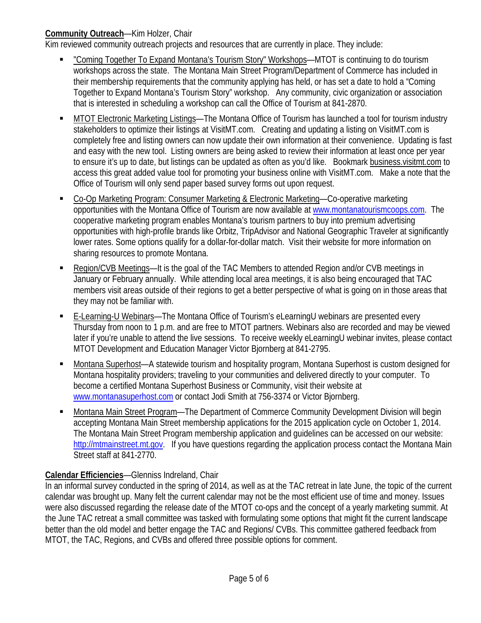## **Community Outreach**—Kim Holzer, Chair

Kim reviewed community outreach projects and resources that are currently in place. They include:

- "Coming Together To Expand Montana's Tourism Story" Workshops—MTOT is continuing to do tourism workshops across the state. The Montana Main Street Program/Department of Commerce has included in their membership requirements that the community applying has held, or has set a date to hold a "Coming Together to Expand Montana's Tourism Story" workshop. Any community, civic organization or association that is interested in scheduling a workshop can call the Office of Tourism at 841-2870.
- MTOT Electronic Marketing Listings—The Montana Office of Tourism has launched a tool for tourism industry stakeholders to optimize their listings at VisitMT.com. Creating and updating a listing on VisitMT.com is completely free and listing owners can now update their own information at their convenience. Updating is fast and easy with the new tool. Listing owners are being asked to review their information at least once per year to ensure it's up to date, but listings can be updated as often as you'd like. Bookmark business.visitmt.com to access this great added value tool for promoting your business online with VisitMT.com. Make a note that the Office of Tourism will only send paper based survey forms out upon request.
- Co-Op Marketing Program: Consumer Marketing & Electronic Marketing—Co-operative marketing opportunities with the Montana Office of Tourism are now available at [www.montanatourismcoops.com.](http://www.montanatourismcoops.com/) The cooperative marketing program enables Montana's tourism partners to buy into premium advertising opportunities with high-profile brands like Orbitz, TripAdvisor and National Geographic Traveler at significantly lower rates. Some options qualify for a dollar-for-dollar match. Visit their website for more information on sharing resources to promote Montana.
- Region/CVB Meetings—It is the goal of the TAC Members to attended Region and/or CVB meetings in January or February annually. While attending local area meetings, it is also being encouraged that TAC members visit areas outside of their regions to get a better perspective of what is going on in those areas that they may not be familiar with.
- E-Learning-U Webinars—The Montana Office of Tourism's eLearningU webinars are presented every Thursday from noon to 1 p.m. and are free to MTOT partners. Webinars also are recorded and may be viewed later if you're unable to attend the live sessions. To receive weekly eLearningU webinar invites, please contact MTOT Development and Education Manager Victor Bjornberg at 841-2795.
- Montana Superhost—A statewide tourism and hospitality program, Montana Superhost is custom designed for Montana hospitality providers; traveling to your communities and delivered directly to your computer. To become a certified Montana Superhost Business or Community, visit their website at [www.montanasuperhost.com](http://www.montanasuperhost.com/) or contact Jodi Smith at 756-3374 or Victor Bjornberg.
- Montana Main Street Program—The Department of Commerce Community Development Division will begin accepting Montana Main Street membership applications for the 2015 application cycle on October 1, 2014. The Montana Main Street Program membership application and guidelines can be accessed on our website: [http://mtmainstreet.mt.gov.](http://mtmainstreet.mt.gov/) If you have questions regarding the application process contact the Montana Main Street staff at 841-2770.

# **Calendar Efficiencies**—Glenniss Indreland, Chair

In an informal survey conducted in the spring of 2014, as well as at the TAC retreat in late June, the topic of the current calendar was brought up. Many felt the current calendar may not be the most efficient use of time and money. Issues were also discussed regarding the release date of the MTOT co-ops and the concept of a yearly marketing summit. At the June TAC retreat a small committee was tasked with formulating some options that might fit the current landscape better than the old model and better engage the TAC and Regions/ CVBs. This committee gathered feedback from MTOT, the TAC, Regions, and CVBs and offered three possible options for comment.